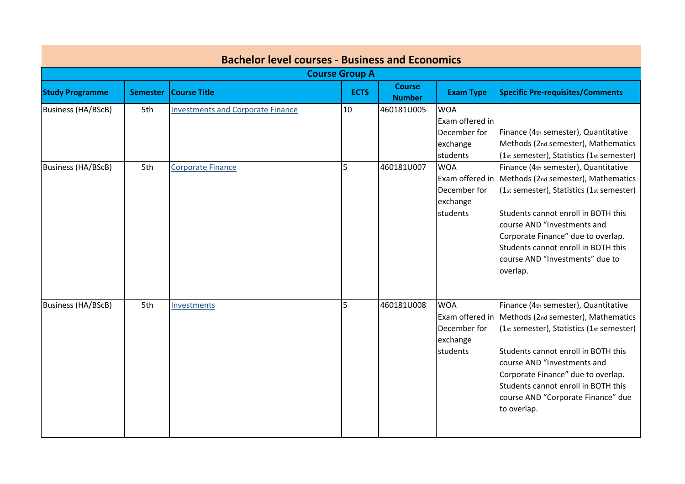|                        |                 | <b>Bachelor level courses - Business and Economics</b> |                       |                                |                                                                       |                                                                                                                                                                                                                                                                                                                                                  |
|------------------------|-----------------|--------------------------------------------------------|-----------------------|--------------------------------|-----------------------------------------------------------------------|--------------------------------------------------------------------------------------------------------------------------------------------------------------------------------------------------------------------------------------------------------------------------------------------------------------------------------------------------|
|                        |                 |                                                        | <b>Course Group A</b> |                                |                                                                       |                                                                                                                                                                                                                                                                                                                                                  |
| <b>Study Programme</b> | <b>Semester</b> | <b>Course Title</b>                                    | <b>ECTS</b>           | <b>Course</b><br><b>Number</b> | <b>Exam Type</b>                                                      | <b>Specific Pre-requisites/Comments</b>                                                                                                                                                                                                                                                                                                          |
| Business (HA/BScB)     | 5th             | <b>Investments and Corporate Finance</b>               | 10                    | 460181U005                     | <b>WOA</b><br>Exam offered in<br>December for<br>exchange<br>students | Finance (4th semester), Quantitative<br>Methods (2nd semester), Mathematics<br>(1st semester), Statistics (1st semester)                                                                                                                                                                                                                         |
| Business (HA/BScB)     | 5th             | <b>Corporate Finance</b>                               | 5                     | 460181U007                     | <b>WOA</b><br>December for<br>exchange<br>students                    | Finance (4th semester), Quantitative<br>Exam offered in Methods (2nd semester), Mathematics<br>(1st semester), Statistics (1st semester)<br>Students cannot enroll in BOTH this<br>course AND "Investments and<br>Corporate Finance" due to overlap.<br>Students cannot enroll in BOTH this<br>course AND "Investments" due to<br>overlap.       |
| Business (HA/BScB)     | 5th             | <b>Investments</b>                                     | 5                     | 460181U008                     | <b>WOA</b><br>December for<br>exchange<br>students                    | Finance (4th semester), Quantitative<br>Exam offered in Methods (2nd semester), Mathematics<br>(1st semester), Statistics (1st semester)<br>Students cannot enroll in BOTH this<br>course AND "Investments and<br>Corporate Finance" due to overlap.<br>Students cannot enroll in BOTH this<br>course AND "Corporate Finance" due<br>to overlap. |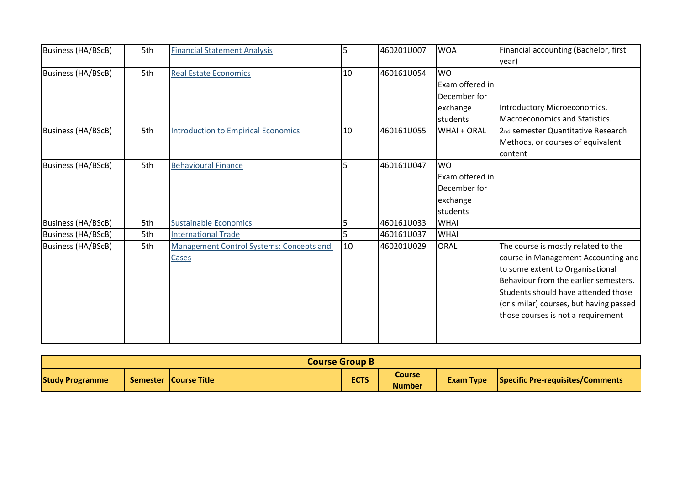| Business (HA/BScB)        | 5th | <b>Financial Statement Analysis</b>               | 5  | 460201U007 | <b>WOA</b>                                                           | Financial accounting (Bachelor, first                                                                                                                                                                                                                                           |
|---------------------------|-----|---------------------------------------------------|----|------------|----------------------------------------------------------------------|---------------------------------------------------------------------------------------------------------------------------------------------------------------------------------------------------------------------------------------------------------------------------------|
| <b>Business (HA/BScB)</b> | 5th | <b>Real Estate Economics</b>                      | 10 | 460161U054 | <b>WO</b><br>Exam offered in                                         | year)                                                                                                                                                                                                                                                                           |
|                           |     |                                                   |    |            | December for<br>exchange<br>students                                 | Introductory Microeconomics,<br>Macroeconomics and Statistics.                                                                                                                                                                                                                  |
| Business (HA/BScB)        | 5th | <b>Introduction to Empirical Economics</b>        | 10 | 460161U055 | WHAI + ORAL                                                          | 2nd semester Quantitative Research<br>Methods, or courses of equivalent<br>content                                                                                                                                                                                              |
| Business (HA/BScB)        | 5th | <b>Behavioural Finance</b>                        | 5  | 460161U047 | <b>WO</b><br>Exam offered in<br>December for<br>exchange<br>students |                                                                                                                                                                                                                                                                                 |
| Business (HA/BScB)        | 5th | <b>Sustainable Economics</b>                      | 5  | 460161U033 | <b>WHAI</b>                                                          |                                                                                                                                                                                                                                                                                 |
| Business (HA/BScB)        | 5th | <b>International Trade</b>                        | 5  | 460161U037 | <b>WHAI</b>                                                          |                                                                                                                                                                                                                                                                                 |
| Business (HA/BScB)        | 5th | Management Control Systems: Concepts and<br>Cases | 10 | 460201U029 | ORAL                                                                 | The course is mostly related to the<br>course in Management Accounting and<br>to some extent to Organisational<br>Behaviour from the earlier semesters.<br>Students should have attended those<br>(or similar) courses, but having passed<br>those courses is not a requirement |

| <b>Course Group B</b>  |  |                       |             |                         |                  |                                         |
|------------------------|--|-----------------------|-------------|-------------------------|------------------|-----------------------------------------|
| <b>Study Programme</b> |  | Semester Course Title | <b>ECTS</b> | Course<br><b>Number</b> | <b>Exam Type</b> | <b>Specific Pre-requisites/Comments</b> |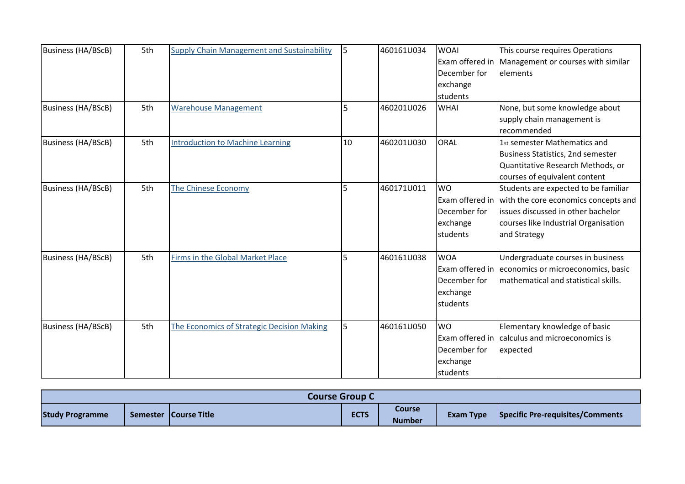| <b>Business (HA/BScB)</b> | 5th | <b>Supply Chain Management and Sustainability</b> | 5              | 460161U034 | <b>WOAI</b><br>Exam offered in | This course requires Operations<br>Management or courses with similar |
|---------------------------|-----|---------------------------------------------------|----------------|------------|--------------------------------|-----------------------------------------------------------------------|
|                           |     |                                                   |                |            | December for                   | elements                                                              |
|                           |     |                                                   |                |            | exchange                       |                                                                       |
|                           |     |                                                   |                |            | students                       |                                                                       |
| <b>Business (HA/BScB)</b> | 5th | <b>Warehouse Management</b>                       | 5              | 460201U026 | <b>WHAI</b>                    | None, but some knowledge about                                        |
|                           |     |                                                   |                |            |                                | supply chain management is                                            |
|                           |     |                                                   |                |            |                                | recommended                                                           |
| <b>Business (HA/BScB)</b> | 5th | <b>Introduction to Machine Learning</b>           | 10             | 460201U030 | ORAL                           | 1st semester Mathematics and                                          |
|                           |     |                                                   |                |            |                                | Business Statistics, 2nd semester                                     |
|                           |     |                                                   |                |            |                                | Quantitative Research Methods, or                                     |
|                           |     |                                                   |                |            |                                | courses of equivalent content                                         |
| <b>Business (HA/BScB)</b> | 5th | The Chinese Economy                               | 5              | 460171U011 | <b>WO</b>                      | Students are expected to be familiar                                  |
|                           |     |                                                   |                |            | Exam offered in                | with the core economics concepts and                                  |
|                           |     |                                                   |                |            | December for                   | issues discussed in other bachelor                                    |
|                           |     |                                                   |                |            | exchange                       | courses like Industrial Organisation                                  |
|                           |     |                                                   |                |            | students                       | and Strategy                                                          |
| <b>Business (HA/BScB)</b> | 5th | Firms in the Global Market Place                  | 5              | 460161U038 | <b>WOA</b>                     | Undergraduate courses in business                                     |
|                           |     |                                                   |                |            | Exam offered in                | economics or microeconomics, basic                                    |
|                           |     |                                                   |                |            | December for                   | mathematical and statistical skills.                                  |
|                           |     |                                                   |                |            | exchange                       |                                                                       |
|                           |     |                                                   |                |            | students                       |                                                                       |
| <b>Business (HA/BScB)</b> | 5th | The Economics of Strategic Decision Making        | 5 <sub>1</sub> | 460161U050 | <b>WO</b>                      | Elementary knowledge of basic                                         |
|                           |     |                                                   |                |            | Exam offered in                | calculus and microeconomics is                                        |
|                           |     |                                                   |                |            | December for                   | expected                                                              |
|                           |     |                                                   |                |            | exchange                       |                                                                       |
|                           |     |                                                   |                |            | students                       |                                                                       |

| <b>Course Group C.</b> |  |                         |             |                                |           |                                         |
|------------------------|--|-------------------------|-------------|--------------------------------|-----------|-----------------------------------------|
| <b>Study Programme</b> |  | Semester   Course Title | <b>ECTS</b> | <b>Course</b><br><b>Number</b> | Exam Type | <b>Specific Pre-requisites/Comments</b> |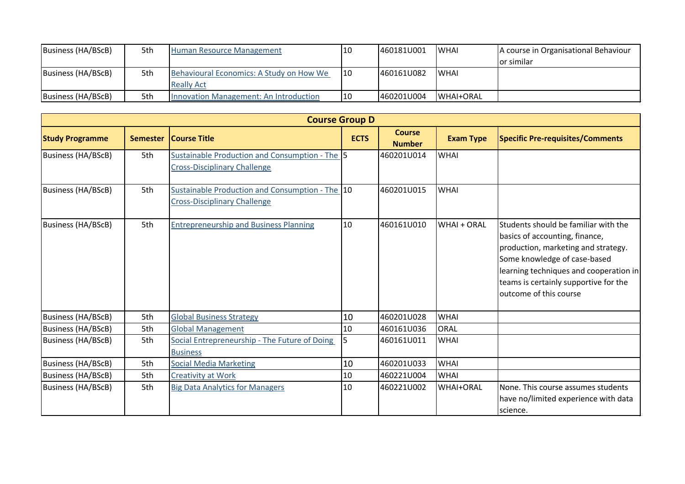| Business (HA/BScB) | 5th | Human Resource Management                | 10 | 460181U001 | <b>WHAI</b> | A course in Organisational Behaviour |
|--------------------|-----|------------------------------------------|----|------------|-------------|--------------------------------------|
|                    |     |                                          |    |            |             | or similar                           |
| Business (HA/BScB) | 5th | Behavioural Economics: A Study on How We | 10 | 460161U082 | <b>WHAI</b> |                                      |
|                    |     | <b>Really Act</b>                        |    |            |             |                                      |
| Business (HA/BScB) | 5th | Innovation Management: An Introduction   | 10 | 460201U004 | WHAI+ORAL   |                                      |

|                           |                 |                                                                                        | <b>Course Group D</b> |                                |                  |                                                                                                                                                                                                                                                                   |
|---------------------------|-----------------|----------------------------------------------------------------------------------------|-----------------------|--------------------------------|------------------|-------------------------------------------------------------------------------------------------------------------------------------------------------------------------------------------------------------------------------------------------------------------|
| <b>Study Programme</b>    | <b>Semester</b> | <b>Course Title</b>                                                                    | <b>ECTS</b>           | <b>Course</b><br><b>Number</b> | <b>Exam Type</b> | <b>Specific Pre-requisites/Comments</b>                                                                                                                                                                                                                           |
| Business (HA/BScB)        | 5th             | Sustainable Production and Consumption - The 5<br><b>Cross-Disciplinary Challenge</b>  |                       | 460201U014                     | <b>WHAI</b>      |                                                                                                                                                                                                                                                                   |
| Business (HA/BScB)        | 5th             | Sustainable Production and Consumption - The 10<br><b>Cross-Disciplinary Challenge</b> |                       | 460201U015                     | <b>WHAI</b>      |                                                                                                                                                                                                                                                                   |
| Business (HA/BScB)        | 5th             | <b>Entrepreneurship and Business Planning</b>                                          | 10                    | 460161U010                     | WHAI + ORAL      | <b>Students should be familiar with the</b><br>basics of accounting, finance,<br>production, marketing and strategy.<br>Some knowledge of case-based<br>learning techniques and cooperation in<br>teams is certainly supportive for the<br>outcome of this course |
| <b>Business (HA/BScB)</b> | 5th             | <b>Global Business Strategy</b>                                                        | 10                    | 460201U028                     | <b>WHAI</b>      |                                                                                                                                                                                                                                                                   |
| <b>Business (HA/BScB)</b> | 5th             | <b>Global Management</b>                                                               | 10                    | 460161U036                     | <b>ORAL</b>      |                                                                                                                                                                                                                                                                   |
| <b>Business (HA/BScB)</b> | 5th             | Social Entrepreneurship - The Future of Doing<br><b>Business</b>                       | 5                     | 460161U011                     | <b>WHAI</b>      |                                                                                                                                                                                                                                                                   |
| Business (HA/BScB)        | 5th             | <b>Social Media Marketing</b>                                                          | 10                    | 460201U033                     | <b>WHAI</b>      |                                                                                                                                                                                                                                                                   |
| Business (HA/BScB)        | 5th             | <b>Creativity at Work</b>                                                              | 10                    | 460221U004                     | <b>WHAI</b>      |                                                                                                                                                                                                                                                                   |
| Business (HA/BScB)        | 5th             | <b>Big Data Analytics for Managers</b>                                                 | 10                    | 460221U002                     | <b>WHAI+ORAL</b> | None. This course assumes students<br>have no/limited experience with data<br>science.                                                                                                                                                                            |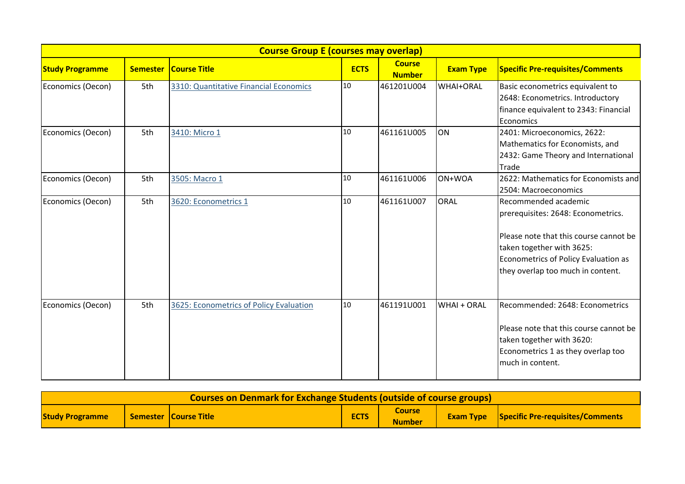|                        |                 | <b>Course Group E (courses may overlap)</b> |             |                                |                  |                                                                                                                                                                                                                |
|------------------------|-----------------|---------------------------------------------|-------------|--------------------------------|------------------|----------------------------------------------------------------------------------------------------------------------------------------------------------------------------------------------------------------|
| <b>Study Programme</b> | <b>Semester</b> | <b>Course Title</b>                         | <b>ECTS</b> | <b>Course</b><br><b>Number</b> | <b>Exam Type</b> | <b>Specific Pre-requisites/Comments</b>                                                                                                                                                                        |
| Economics (Oecon)      | 5th             | 3310: Quantitative Financial Economics      | 10          | 461201U004                     | <b>WHAI+ORAL</b> | Basic econometrics equivalent to<br>2648: Econometrics. Introductory<br>finance equivalent to 2343: Financial<br>Economics                                                                                     |
| Economics (Oecon)      | 5th             | 3410: Micro 1                               | 10          | 461161U005                     | ON               | 2401: Microeconomics, 2622:<br>Mathematics for Economists, and<br>2432: Game Theory and International<br>Trade                                                                                                 |
| Economics (Oecon)      | 5th             | 3505: Macro 1                               | 10          | 461161U006                     | ON+WOA           | 2622: Mathematics for Economists and<br>2504: Macroeconomics                                                                                                                                                   |
| Economics (Oecon)      | 5th             | 3620: Econometrics 1                        | 10          | 461161U007                     | <b>ORAL</b>      | Recommended academic<br>prerequisites: 2648: Econometrics.<br>Please note that this course cannot be<br>taken together with 3625:<br>Econometrics of Policy Evaluation as<br>they overlap too much in content. |
| Economics (Oecon)      | 5th             | 3625: Econometrics of Policy Evaluation     | 10          | 461191U001                     | WHAI + ORAL      | Recommended: 2648: Econometrics<br>Please note that this course cannot be<br>taken together with 3620:<br>Econometrics 1 as they overlap too<br>much in content.                                               |

| Courses on Denmark for Exchange Students (outside of course groups) |  |                       |             |                                |  |                                                   |
|---------------------------------------------------------------------|--|-----------------------|-------------|--------------------------------|--|---------------------------------------------------|
| <b>Study Programme</b>                                              |  | Semester Course Title | <b>ECTS</b> | <b>Course</b><br><b>Number</b> |  | <b>Exam Type</b> Specific Pre-requisites/Comments |